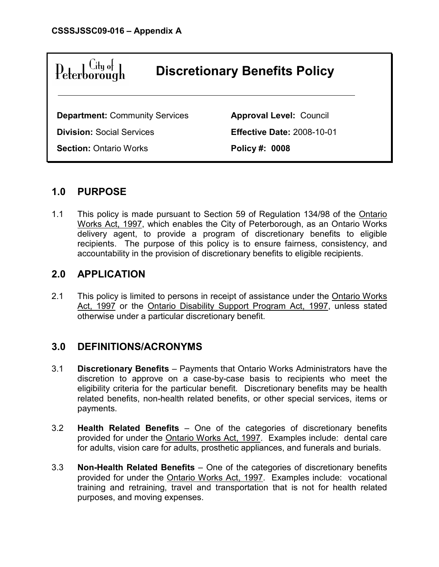

# 1.0 PURPOSE

1.1 This policy is made pursuant to Section 59 of Regulation 134/98 of the Ontario Works Act, 1997, which enables the City of Peterborough, as an Ontario Works delivery agent, to provide a program of discretionary benefits to eligible recipients. The purpose of this policy is to ensure fairness, consistency, and accountability in the provision of discretionary benefits to eligible recipients.

## 2.0 APPLICATION

2.1 This policy is limited to persons in receipt of assistance under the Ontario Works Act, 1997 or the Ontario Disability Support Program Act, 1997, unless stated otherwise under a particular discretionary benefit.

## 3.0 DEFINITIONS/ACRONYMS

- 3.1 Discretionary Benefits Payments that Ontario Works Administrators have the discretion to approve on a case-by-case basis to recipients who meet the eligibility criteria for the particular benefit. Discretionary benefits may be health related benefits, non-health related benefits, or other special services, items or payments.
- 3.2 Health Related Benefits One of the categories of discretionary benefits provided for under the Ontario Works Act, 1997. Examples include: dental care for adults, vision care for adults, prosthetic appliances, and funerals and burials.
- 3.3 Non-Health Related Benefits One of the categories of discretionary benefits provided for under the Ontario Works Act, 1997. Examples include: vocational training and retraining, travel and transportation that is not for health related purposes, and moving expenses.